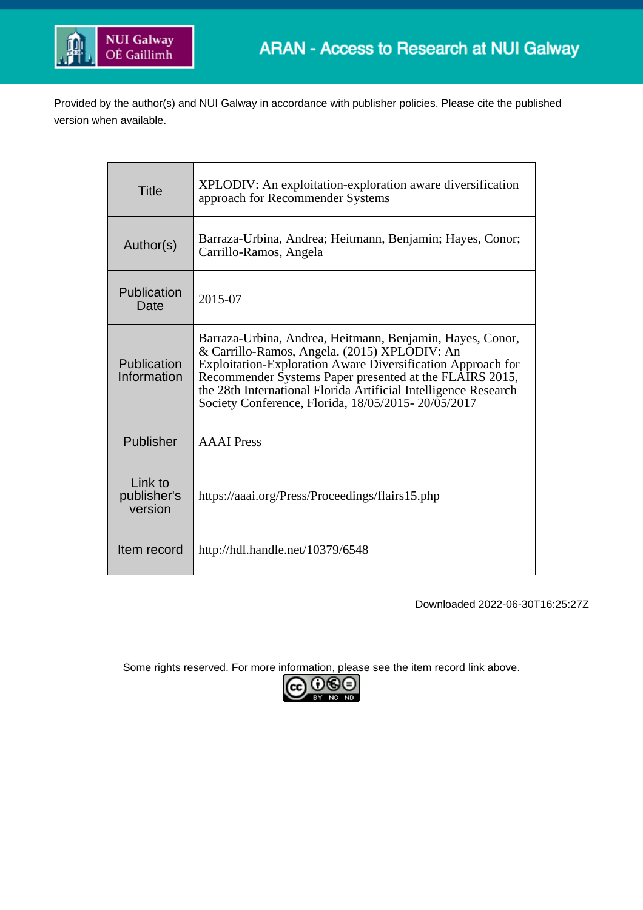

Provided by the author(s) and NUI Galway in accordance with publisher policies. Please cite the published version when available.

| Title                             | XPLODIV: An exploitation-exploration aware diversification<br>approach for Recommender Systems                                                                                                                                                                                                                                                               |  |
|-----------------------------------|--------------------------------------------------------------------------------------------------------------------------------------------------------------------------------------------------------------------------------------------------------------------------------------------------------------------------------------------------------------|--|
| Author(s)                         | Barraza-Urbina, Andrea; Heitmann, Benjamin; Hayes, Conor;<br>Carrillo-Ramos, Angela                                                                                                                                                                                                                                                                          |  |
| Publication<br>Date               | 2015-07                                                                                                                                                                                                                                                                                                                                                      |  |
| Publication<br>Information        | Barraza-Urbina, Andrea, Heitmann, Benjamin, Hayes, Conor,<br>& Carrillo-Ramos, Angela. (2015) XPLODIV: An<br>Exploitation-Exploration Aware Diversification Approach for<br>Recommender Systems Paper presented at the FLAIRS 2015,<br>the 28th International Florida Artificial Intelligence Research<br>Society Conference, Florida, 18/05/2015-20/05/2017 |  |
| Publisher                         | <b>AAAI</b> Press                                                                                                                                                                                                                                                                                                                                            |  |
| Link to<br>publisher's<br>version | https://aaai.org/Press/Proceedings/flairs15.php                                                                                                                                                                                                                                                                                                              |  |
| Item record                       | http://hdl.handle.net/10379/6548                                                                                                                                                                                                                                                                                                                             |  |

Downloaded 2022-06-30T16:25:27Z

Some rights reserved. For more information, please see the item record link above.

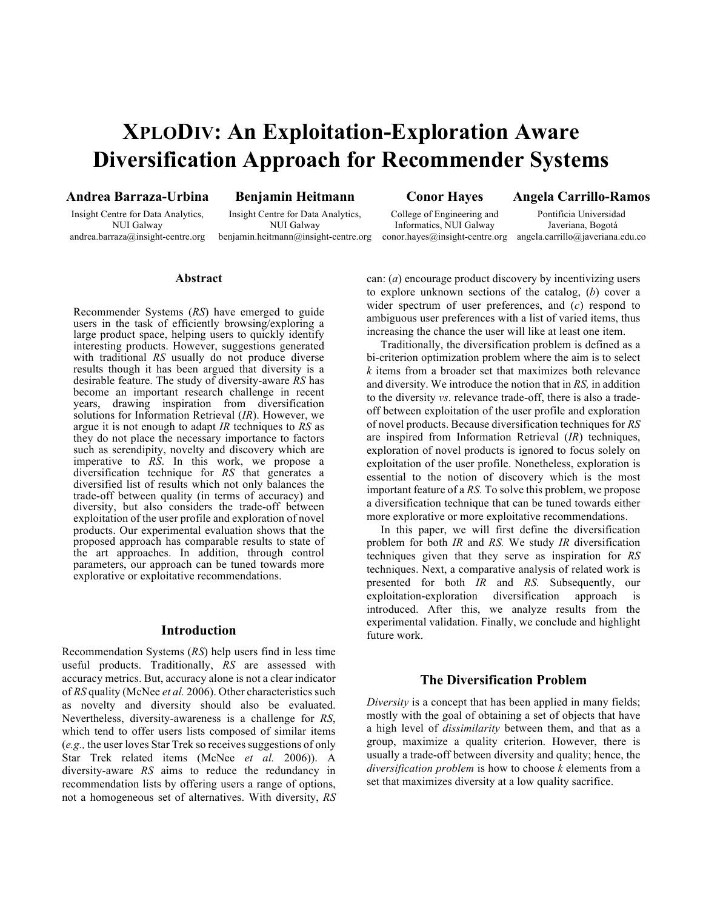# **XPLODIV: An Exploitation-Exploration Aware Diversification Approach for Recommender Systems**

## **Andrea Barraza-Urbina**

Insight Centre for Data Analytics, NUI Galway andrea.barraza@insight-centre.org

## **Benjamin Heitmann**

Insight Centre for Data Analytics, NUI Galway benjamin.heitmann@insight-centre.org **Conor Hayes**

**Angela Carrillo-Ramos**

College of Engineering and Informatics, NUI Galway conor.hayes@insight-centre.org angela.carrillo@javeriana.edu.co

Pontificia Universidad Javeriana, Bogotá

#### **Abstract**

Recommender Systems (*RS*) have emerged to guide users in the task of efficiently browsing/exploring a large product space, helping users to quickly identify interesting products. However, suggestions generated with traditional *RS* usually do not produce diverse results though it has been argued that diversity is a desirable feature. The study of diversity-aware *RS* has become an important research challenge in recent years, drawing inspiration from diversification solutions for Information Retrieval (*IR*). However, we argue it is not enough to adapt *IR* techniques to *RS* as they do not place the necessary importance to factors such as serendipity, novelty and discovery which are imperative to *RS*. In this work, we propose a diversification technique for *RS* that generates a diversified list of results which not only balances the trade-off between quality (in terms of accuracy) and diversity, but also considers the trade-off between exploitation of the user profile and exploration of novel products. Our experimental evaluation shows that the proposed approach has comparable results to state of the art approaches. In addition, through control parameters, our approach can be tuned towards more explorative or exploitative recommendations.

#### **Introduction**

Recommendation Systems (*RS*) help users find in less time useful products. Traditionally, *RS* are assessed with accuracy metrics. But, accuracy alone is not a clear indicator of *RS* quality (McNee *et al.* 2006). Other characteristics such as novelty and diversity should also be evaluated. Nevertheless, diversity-awareness is a challenge for *RS*, which tend to offer users lists composed of similar items (*e.g.,* the user loves Star Trek so receives suggestions of only Star Trek related items (McNee *et al.* 2006)). A diversity-aware *RS* aims to reduce the redundancy in recommendation lists by offering users a range of options, not a homogeneous set of alternatives. With diversity, *RS* can: (*a*) encourage product discovery by incentivizing users to explore unknown sections of the catalog, (*b*) cover a wider spectrum of user preferences, and (*c*) respond to ambiguous user preferences with a list of varied items, thus increasing the chance the user will like at least one item.

Traditionally, the diversification problem is defined as a bi-criterion optimization problem where the aim is to select *k* items from a broader set that maximizes both relevance and diversity. We introduce the notion that in *RS,* in addition to the diversity *vs*. relevance trade-off, there is also a tradeoff between exploitation of the user profile and exploration of novel products. Because diversification techniques for *RS* are inspired from Information Retrieval (*IR*) techniques, exploration of novel products is ignored to focus solely on exploitation of the user profile. Nonetheless, exploration is essential to the notion of discovery which is the most important feature of a *RS.* To solve this problem, we propose a diversification technique that can be tuned towards either more explorative or more exploitative recommendations.

In this paper, we will first define the diversification problem for both *IR* and *RS.* We study *IR* diversification techniques given that they serve as inspiration for *RS* techniques. Next, a comparative analysis of related work is presented for both *IR* and *RS.* Subsequently, our exploitation-exploration diversification approach is introduced. After this, we analyze results from the experimental validation. Finally, we conclude and highlight future work.

#### **The Diversification Problem**

*Diversity* is a concept that has been applied in many fields; mostly with the goal of obtaining a set of objects that have a high level of *dissimilarity* between them, and that as a group, maximize a quality criterion. However, there is usually a trade-off between diversity and quality; hence, the *diversification problem* is how to choose *k* elements from a set that maximizes diversity at a low quality sacrifice.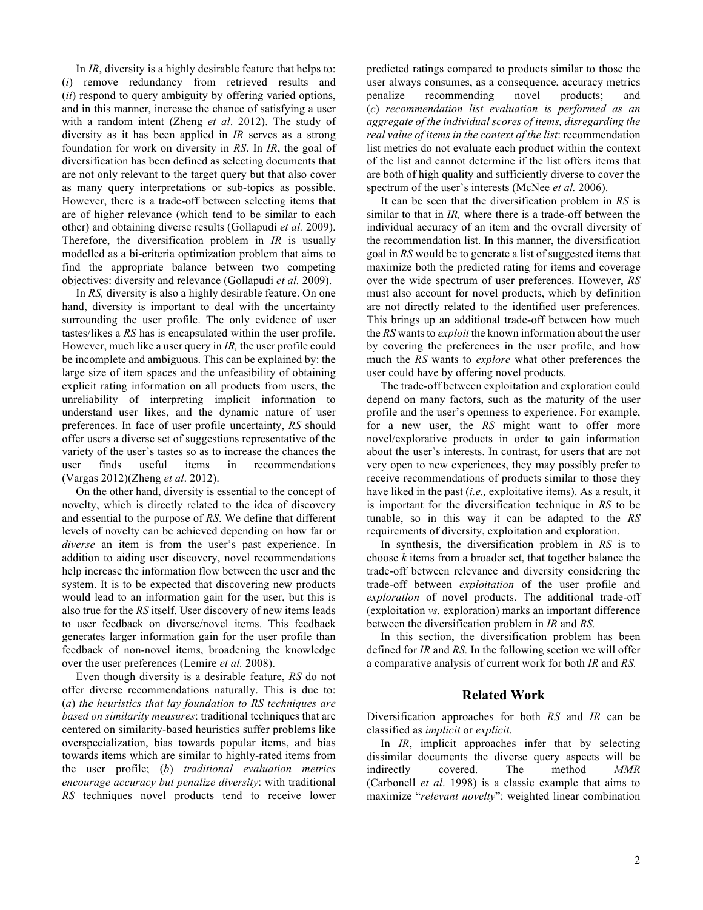In *IR*, diversity is a highly desirable feature that helps to: (*i*) remove redundancy from retrieved results and (*ii*) respond to query ambiguity by offering varied options, and in this manner, increase the chance of satisfying a user with a random intent (Zheng *et al*. 2012). The study of diversity as it has been applied in *IR* serves as a strong foundation for work on diversity in *RS*. In *IR*, the goal of diversification has been defined as selecting documents that are not only relevant to the target query but that also cover as many query interpretations or sub-topics as possible. However, there is a trade-off between selecting items that are of higher relevance (which tend to be similar to each other) and obtaining diverse results (Gollapudi *et al.* 2009). Therefore, the diversification problem in *IR* is usually modelled as a bi-criteria optimization problem that aims to find the appropriate balance between two competing objectives: diversity and relevance (Gollapudi *et al.* 2009).

In *RS,* diversity is also a highly desirable feature. On one hand, diversity is important to deal with the uncertainty surrounding the user profile. The only evidence of user tastes/likes a *RS* has is encapsulated within the user profile. However, much like a user query in *IR,* the user profile could be incomplete and ambiguous. This can be explained by: the large size of item spaces and the unfeasibility of obtaining explicit rating information on all products from users, the unreliability of interpreting implicit information to understand user likes, and the dynamic nature of user preferences. In face of user profile uncertainty, *RS* should offer users a diverse set of suggestions representative of the variety of the user's tastes so as to increase the chances the user finds useful items in recommendations (Vargas 2012)(Zheng *et al*. 2012).

On the other hand, diversity is essential to the concept of novelty, which is directly related to the idea of discovery and essential to the purpose of *RS*. We define that different levels of novelty can be achieved depending on how far or *diverse* an item is from the user's past experience. In addition to aiding user discovery, novel recommendations help increase the information flow between the user and the system. It is to be expected that discovering new products would lead to an information gain for the user, but this is also true for the *RS* itself. User discovery of new items leads to user feedback on diverse/novel items. This feedback generates larger information gain for the user profile than feedback of non-novel items, broadening the knowledge over the user preferences (Lemire *et al.* 2008).

Even though diversity is a desirable feature, *RS* do not offer diverse recommendations naturally. This is due to: (*a*) *the heuristics that lay foundation to RS techniques are based on similarity measures*: traditional techniques that are centered on similarity-based heuristics suffer problems like overspecialization, bias towards popular items, and bias towards items which are similar to highly-rated items from the user profile; (*b*) *traditional evaluation metrics encourage accuracy but penalize diversity*: with traditional *RS* techniques novel products tend to receive lower

predicted ratings compared to products similar to those the user always consumes, as a consequence, accuracy metrics penalize recommending novel products; and (*c*) *recommendation list evaluation is performed as an aggregate of the individual scores of items, disregarding the real value of items in the context of the list*: recommendation list metrics do not evaluate each product within the context of the list and cannot determine if the list offers items that are both of high quality and sufficiently diverse to cover the spectrum of the user's interests (McNee *et al.* 2006).

It can be seen that the diversification problem in *RS* is similar to that in *IR,* where there is a trade-off between the individual accuracy of an item and the overall diversity of the recommendation list. In this manner, the diversification goal in *RS* would be to generate a list of suggested items that maximize both the predicted rating for items and coverage over the wide spectrum of user preferences. However, *RS* must also account for novel products, which by definition are not directly related to the identified user preferences. This brings up an additional trade-off between how much the *RS* wants to *exploit* the known information about the user by covering the preferences in the user profile, and how much the *RS* wants to *explore* what other preferences the user could have by offering novel products.

The trade-off between exploitation and exploration could depend on many factors, such as the maturity of the user profile and the user's openness to experience. For example, for a new user, the *RS* might want to offer more novel/explorative products in order to gain information about the user's interests. In contrast, for users that are not very open to new experiences, they may possibly prefer to receive recommendations of products similar to those they have liked in the past (*i.e.,* exploitative items). As a result, it is important for the diversification technique in *RS* to be tunable, so in this way it can be adapted to the *RS*  requirements of diversity, exploitation and exploration.

In synthesis, the diversification problem in *RS* is to choose *k* items from a broader set, that together balance the trade-off between relevance and diversity considering the trade-off between *exploitation* of the user profile and *exploration* of novel products. The additional trade-off (exploitation *vs.* exploration) marks an important difference between the diversification problem in *IR* and *RS.* 

In this section, the diversification problem has been defined for *IR* and *RS.* In the following section we will offer a comparative analysis of current work for both *IR* and *RS.*

# **Related Work**

Diversification approaches for both *RS* and *IR* can be classified as *implicit* or *explicit*.

In *IR*, implicit approaches infer that by selecting dissimilar documents the diverse query aspects will be indirectly covered. The method *MMR* (Carbonell *et al*. 1998) is a classic example that aims to maximize "*relevant novelty*": weighted linear combination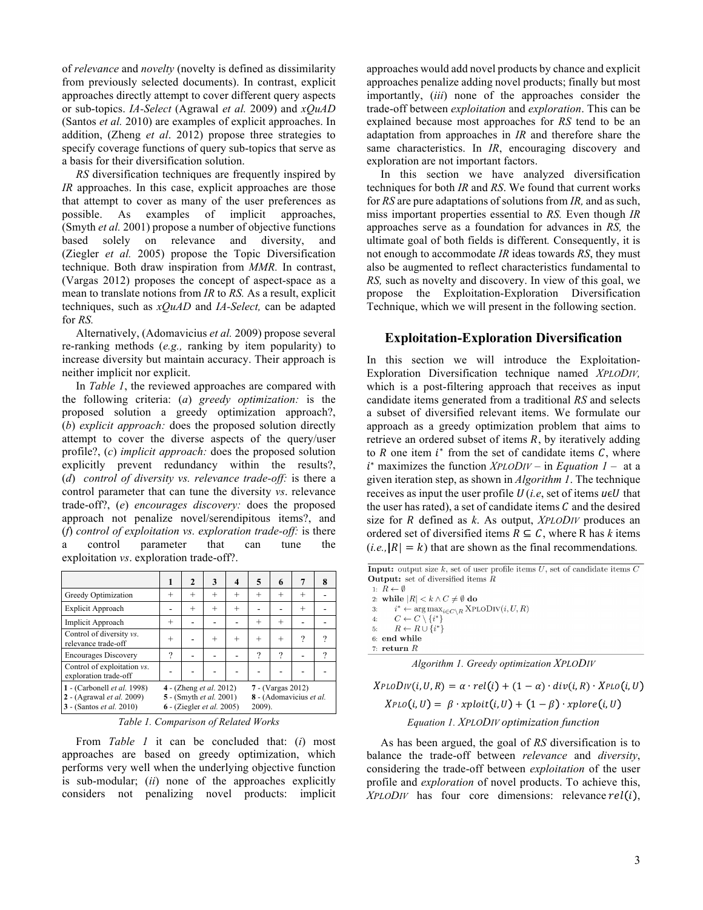of *relevance* and *novelty* (novelty is defined as dissimilarity from previously selected documents). In contrast, explicit approaches directly attempt to cover different query aspects or sub-topics. *IA-Select* (Agrawal *et al.* 2009) and *xQuAD* (Santos *et al.* 2010) are examples of explicit approaches. In addition, (Zheng *et al*. 2012) propose three strategies to specify coverage functions of query sub-topics that serve as a basis for their diversification solution.

*RS* diversification techniques are frequently inspired by *IR* approaches. In this case, explicit approaches are those that attempt to cover as many of the user preferences as possible. As examples of implicit approaches, (Smyth *et al.* 2001) propose a number of objective functions based solely on relevance and diversity, and (Ziegler *et al.* 2005) propose the Topic Diversification technique. Both draw inspiration from *MMR.* In contrast, (Vargas 2012) proposes the concept of aspect-space as a mean to translate notions from *IR* to *RS.* As a result, explicit techniques, such as *xQuAD* and *IA-Select,* can be adapted for *RS.* 

Alternatively, (Adomavicius *et al.* 2009) propose several re-ranking methods (*e.g.,* ranking by item popularity) to increase diversity but maintain accuracy. Their approach is neither implicit nor explicit.

In *Table 1*, the reviewed approaches are compared with the following criteria: (*a*) *greedy optimization:* is the proposed solution a greedy optimization approach?, (*b*) *explicit approach:* does the proposed solution directly attempt to cover the diverse aspects of the query/user profile?, (*c*) *implicit approach:* does the proposed solution explicitly prevent redundancy within the results?, (*d*) *control of diversity vs. relevance trade-off:* is there a control parameter that can tune the diversity *vs*. relevance trade-off?, (*e*) *encourages discovery:* does the proposed approach not penalize novel/serendipitous items?, and (*f*) *control of exploitation vs. exploration trade-off:* is there a control parameter that can tune the exploitation *vs*. exploration trade-off?.

|                                                                                                    | 1      | $\mathbf{2}$ | 3                                                                                             | 4      | 5                                                      | 6        | 7      | 8 |
|----------------------------------------------------------------------------------------------------|--------|--------------|-----------------------------------------------------------------------------------------------|--------|--------------------------------------------------------|----------|--------|---|
| Greedy Optimization                                                                                | $^{+}$ | $^{+}$       | $^{+}$                                                                                        | $^{+}$ | $^{+}$                                                 | $^{+}$   | $^{+}$ |   |
| Explicit Approach                                                                                  |        | $^{+}$       | $^{+}$                                                                                        | $^{+}$ |                                                        |          | $^{+}$ |   |
| Implicit Approach                                                                                  | $^{+}$ |              |                                                                                               |        | $^{+}$                                                 | $^{+}$   |        |   |
| Control of diversity vs.<br>relevance trade-off                                                    | $^{+}$ |              | $\,$                                                                                          | $^{+}$ | $^{+}$                                                 | $^{+}$   | ?      | 9 |
| <b>Encourages Discovery</b>                                                                        | ?      |              |                                                                                               |        | $\gamma$                                               | $\gamma$ |        | ? |
| Control of exploitation vs.<br>exploration trade-off                                               |        |              |                                                                                               |        |                                                        |          |        |   |
| 1 - (Carbonell et al. 1998)<br>2 - (Agrawal et al. 2009)<br><b>3</b> - (Santos <i>et al.</i> 2010) |        |              | 4 - (Zheng <i>et al.</i> 2012)<br>5 - (Smyth et al. 2001)<br>6 - (Ziegler <i>et al.</i> 2005) |        | 7 - (Vargas 2012)<br>8 - (Adomavicius et al.<br>2009). |          |        |   |

| Table 1. Comparison of Related Works |  |
|--------------------------------------|--|
|                                      |  |

From *Table 1* it can be concluded that: (*i*) most approaches are based on greedy optimization, which performs very well when the underlying objective function is sub-modular; (*ii*) none of the approaches explicitly considers not penalizing novel products: implicit approaches would add novel products by chance and explicit approaches penalize adding novel products; finally but most importantly, (*iii*) none of the approaches consider the trade-off between *exploitation* and *exploration*. This can be explained because most approaches for *RS* tend to be an adaptation from approaches in *IR* and therefore share the same characteristics. In *IR*, encouraging discovery and exploration are not important factors.

In this section we have analyzed diversification techniques for both *IR* and *RS*. We found that current works for *RS* are pure adaptations of solutions from *IR,* and as such, miss important properties essential to *RS.* Even though *IR*  approaches serve as a foundation for advances in *RS,* the ultimate goal of both fields is different*.* Consequently, it is not enough to accommodate *IR* ideas towards *RS*, they must also be augmented to reflect characteristics fundamental to *RS,* such as novelty and discovery. In view of this goal, we propose the Exploitation-Exploration Diversification Technique, which we will present in the following section.

## **Exploitation-Exploration Diversification**

In this section we will introduce the Exploitation-Exploration Diversification technique named *XPLODIV,* which is a post-filtering approach that receives as input candidate items generated from a traditional *RS* and selects a subset of diversified relevant items. We formulate our approach as a greedy optimization problem that aims to retrieve an ordered subset of items  $R$ , by iteratively adding to  $R$  one item  $i^*$  from the set of candidate items  $C$ , where <sup>∗</sup> maximizes the function *XPLODIV* – in *Equation 1* – at a given iteration step, as shown in *Algorithm 1*. The technique receives as input the user profile  $U(i.e., set of items  $u \in U$  that$ the user has rated), a set of candidate items  $C$  and the desired size for *R* defined as *k*. As output, *XPLODIV* produces an ordered set of diversified items  $R \subseteq C$ , where R has *k* items  $(i.e., |R| = k)$  that are shown as the final recommendations.

**Input:** output size  $k$ , set of user profile items  $U$ , set of candidate items  $C$ **Output:** set of diversified items  $R$ 

1:  $R \leftarrow \emptyset$ 2: while  $|R| < k \wedge C \neq \emptyset$  do  $i^* \leftarrow \arg\max_{i \in C \setminus R} \text{XPLODiv}(i, U, R)$  $3:$  $C \leftarrow C \setminus \{i^*\}$  $\overline{4}$  $R \leftarrow R \cup \{i^*\}$  $5:$  $6:$  end while 7: return  $R$ 

|  |  | Algorithm 1. Greedy optimization XPLODIV |  |
|--|--|------------------------------------------|--|
|--|--|------------------------------------------|--|

 $XPLoDiv(i, U, R) = \alpha \cdot rel(i) + (1 - \alpha) \cdot div(i, R) \cdot XPLo(i, U)$  $XPLO(i, U) = \beta \cdot xplot(i, U) + (1 - \beta) \cdot xplore(i, U)$ *Equation 1. XPLODIV optimization function*

As has been argued, the goal of *RS* diversification is to balance the trade-off between *relevance* and *diversity*, considering the trade-off between *exploitation* of the user profile and *exploration* of novel products. To achieve this,  $XPLODIV$  has four core dimensions: relevance  $rel(i)$ ,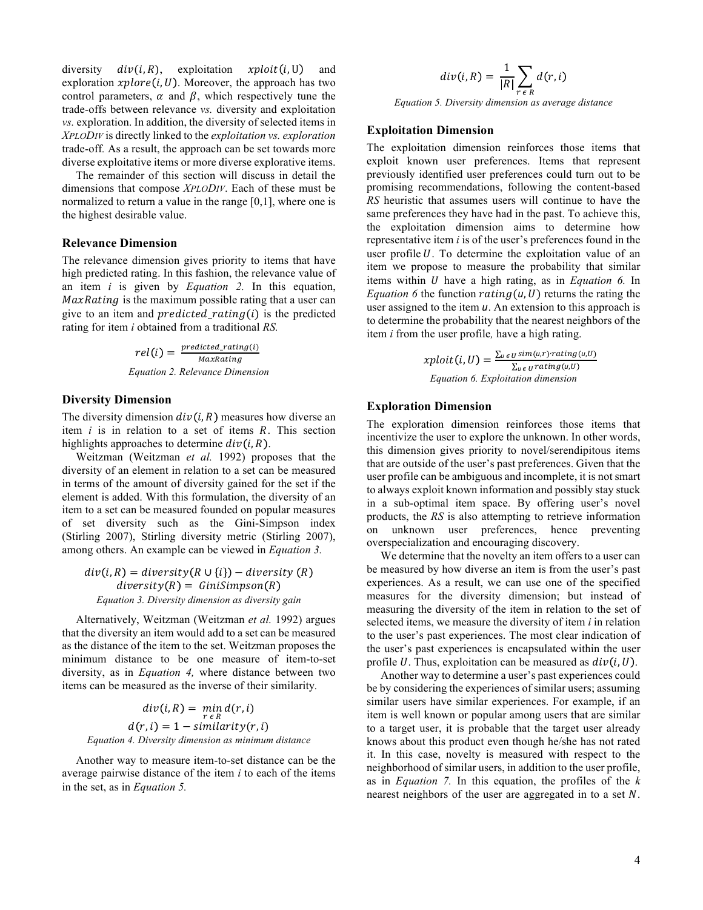diversity  $div(i, R)$ , exploitation  $xplot(i, U)$  and exploration  $xplore(i, U)$ . Moreover, the approach has two control parameters,  $\alpha$  and  $\beta$ , which respectively tune the trade-offs between relevance *vs.* diversity and exploitation *vs.* exploration. In addition, the diversity of selected items in *XPLODIV* is directly linked to the *exploitation vs. exploration* trade-off*.* As a result, the approach can be set towards more diverse exploitative items or more diverse explorative items.

The remainder of this section will discuss in detail the dimensions that compose *XPLODIV*. Each of these must be normalized to return a value in the range [0,1], where one is the highest desirable value.

#### **Relevance Dimension**

The relevance dimension gives priority to items that have high predicted rating. In this fashion, the relevance value of an item *i* is given by *Equation 2.* In this equation,  $MaxRating$  is the maximum possible rating that a user can give to an item and *predicted\_rating(i)* is the predicted rating for item *i* obtained from a traditional *RS.*

> $rel(i) = \frac{predicted\_rating(i)}{}$ MaxRating *Equation 2. Relevance Dimension*

#### **Diversity Dimension**

The diversity dimension  $div(i, R)$  measures how diverse an item  $i$  is in relation to a set of items  $R$ . This section highlights approaches to determine  $div(i, R)$ .

Weitzman (Weitzman *et al.* 1992) proposes that the diversity of an element in relation to a set can be measured in terms of the amount of diversity gained for the set if the element is added. With this formulation, the diversity of an item to a set can be measured founded on popular measures of set diversity such as the Gini-Simpson index (Stirling 2007), Stirling diversity metric (Stirling 2007), among others. An example can be viewed in *Equation 3.*

 $div(i, R) = diversity(R \cup \{i\}) - diversity(R)$  $diversity(R) = GiniSimpson(R)$ *Equation 3. Diversity dimension as diversity gain*

Alternatively, Weitzman (Weitzman *et al.* 1992) argues that the diversity an item would add to a set can be measured as the distance of the item to the set. Weitzman proposes the minimum distance to be one measure of item-to-set diversity, as in *Equation 4,* where distance between two items can be measured as the inverse of their similarity*.*

$$
div(i, R) = \min_{r \in R} d(r, i)
$$

$$
d(r, i) = 1 - similarity(r, i)
$$

$$
Equation 4. Diversity dimension as minimum distance
$$

Another way to measure item-to-set distance can be the average pairwise distance of the item *i* to each of the items in the set, as in *Equation 5.*

$$
div(i, R) = \frac{1}{|R|} \sum_{r \in R} d(r, i)
$$

*Equation 5. Diversity dimension as average distance*

#### **Exploitation Dimension**

The exploitation dimension reinforces those items that exploit known user preferences. Items that represent previously identified user preferences could turn out to be promising recommendations, following the content-based *RS* heuristic that assumes users will continue to have the same preferences they have had in the past. To achieve this, the exploitation dimension aims to determine how representative item *i* is of the user's preferences found in the user profile  $U$ . To determine the exploitation value of an item we propose to measure the probability that similar items within *U* have a high rating, as in *Equation 6*. In *Equation 6* the function  $rating(u, U)$  returns the rating the user assigned to the item  $u$ . An extension to this approach is to determine the probability that the nearest neighbors of the item *i* from the user profile*,* have a high rating.

$$
xploit(i, U) = \frac{\sum_{u \in U} sim(u,r) \cdot rating(u,U)}{\sum_{u \in U} rating(u,U)}
$$
  
Equation 6. Exploration dimension

## **Exploration Dimension**

The exploration dimension reinforces those items that incentivize the user to explore the unknown. In other words, this dimension gives priority to novel/serendipitous items that are outside of the user's past preferences. Given that the user profile can be ambiguous and incomplete, it is not smart to always exploit known information and possibly stay stuck in a sub-optimal item space. By offering user's novel products, the *RS* is also attempting to retrieve information on unknown user preferences, hence preventing overspecialization and encouraging discovery.

We determine that the novelty an item offers to a user can be measured by how diverse an item is from the user's past experiences. As a result, we can use one of the specified measures for the diversity dimension; but instead of measuring the diversity of the item in relation to the set of selected items, we measure the diversity of item *i* in relation to the user's past experiences. The most clear indication of the user's past experiences is encapsulated within the user profile U. Thus, exploitation can be measured as  $div(i, U)$ .

Another way to determine a user's past experiences could be by considering the experiences of similar users; assuming similar users have similar experiences. For example, if an item is well known or popular among users that are similar to a target user, it is probable that the target user already knows about this product even though he/she has not rated it. In this case, novelty is measured with respect to the neighborhood of similar users, in addition to the user profile, as in *Equation 7.* In this equation, the profiles of the *k*  nearest neighbors of the user are aggregated in to a set  $N$ .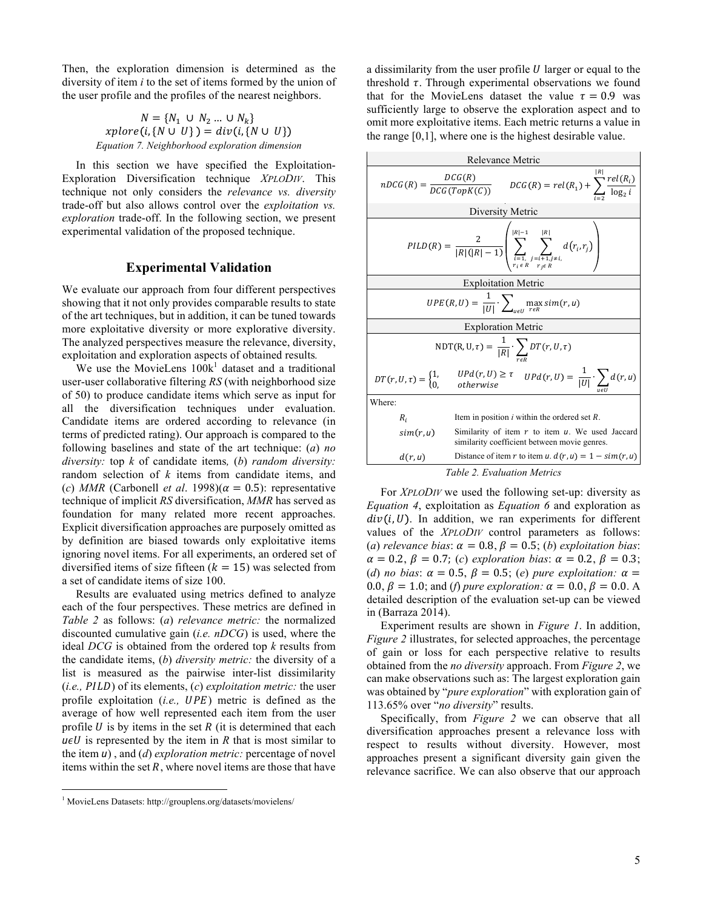Then, the exploration dimension is determined as the diversity of item *i* to the set of items formed by the union of the user profile and the profiles of the nearest neighbors.

$$
N = \{N_1 \cup N_2 \dots \cup N_k\}
$$
  
xplore(i, {N \cup U}) = div(i, {N \cup U})  
*Equation 7. Neighbourhood exploration dimension*

In this section we have specified the Exploitation-Exploration Diversification technique *XPLODIV*. This technique not only considers the *relevance vs. diversity* trade-off but also allows control over the *exploitation vs. exploration* trade-off. In the following section, we present experimental validation of the proposed technique.

# **Experimental Validation**

We evaluate our approach from four different perspectives showing that it not only provides comparable results to state of the art techniques, but in addition, it can be tuned towards more exploitative diversity or more explorative diversity. The analyzed perspectives measure the relevance, diversity, exploitation and exploration aspects of obtained results*.*

We use the MovieLens  $100k<sup>1</sup>$  dataset and a traditional user-user collaborative filtering *RS* (with neighborhood size of 50) to produce candidate items which serve as input for all the diversification techniques under evaluation. Candidate items are ordered according to relevance (in terms of predicted rating). Our approach is compared to the following baselines and state of the art technique: (*a*) *no diversity:* top *k* of candidate items*,* (*b*) *random diversity:* random selection of *k* items from candidate items, and (*c*) *MMR* (Carbonell *et al.* 1998)( $\alpha = 0.5$ ): representative technique of implicit *RS* diversification, *MMR* has served as foundation for many related more recent approaches. Explicit diversification approaches are purposely omitted as by definition are biased towards only exploitative items ignoring novel items. For all experiments, an ordered set of diversified items of size fifteen  $(k = 15)$  was selected from a set of candidate items of size 100.

Results are evaluated using metrics defined to analyze each of the four perspectives. These metrics are defined in *Table 2* as follows: (*a*) *relevance metric:* the normalized discounted cumulative gain (*i.e. nDCG*) is used, where the ideal *DCG* is obtained from the ordered top *k* results from the candidate items, (*b*) *diversity metric:* the diversity of a list is measured as the pairwise inter-list dissimilarity (*i.e., PILD*) of its elements, (*c*) *exploitation metric:* the user profile exploitation (*i.e.*, UPE) metric is defined as the average of how well represented each item from the user profile  $U$  is by items in the set  $R$  (it is determined that each  $u \in U$  is represented by the item in *R* that is most similar to the item *u*), and (*d*) *exploration metric:* percentage of novel items within the set  $R$ , where novel items are those that have

1 MovieLens Datasets: http://grouplens.org/datasets/movielens/

a dissimilarity from the user profile  $U$  larger or equal to the threshold  $\tau$ . Through experimental observations we found that for the MovieLens dataset the value  $\tau = 0.9$  was sufficiently large to observe the exploration aspect and to omit more exploitative items. Each metric returns a value in the range [0,1], where one is the highest desirable value.

| Relevance Metric                                                                                                                                                        |  |  |  |  |
|-------------------------------------------------------------------------------------------------------------------------------------------------------------------------|--|--|--|--|
| $nDCG(R) = \frac{DCG(R)}{DCG(TopK(C))}$ $DCG(R) = rel(R_1) + \sum_{l} \frac{rel(R_i)}{\log_2 l}$                                                                        |  |  |  |  |
| Diversity Metric                                                                                                                                                        |  |  |  |  |
| $\mathit{PID}(R) = \frac{2}{ R ( R -1)} \left( \sum_{i=1, \atop r_i \in R}^{  R -1} \sum_{\substack{j=i+1, j \neq i, \\ r_i \in R}}^{  R } d\big(r_i, r_j\big) \right)$ |  |  |  |  |
| <b>Exploitation Metric</b>                                                                                                                                              |  |  |  |  |
| $UPE(R, U) = \frac{1}{ U } \cdot \sum_{u \in U} \max_{r \in R} sim(r, u)$                                                                                               |  |  |  |  |
| <b>Exploration Metric</b>                                                                                                                                               |  |  |  |  |
| NDT(R, U, $\tau$ ) = $\frac{1}{ R } \cdot \sum_{n=0}^{\infty} DT(r, U, \tau)$                                                                                           |  |  |  |  |
| $\frac{UPd(r,U)}{otherwise} \geq \tau \quad \text{UPd}(r,U) = \frac{1}{ U } \cdot \sum d(r,u)$<br>$DT(r, U, \tau) = \begin{cases} 1, \\ 0, \end{cases}$<br>otherwise    |  |  |  |  |
| Where:                                                                                                                                                                  |  |  |  |  |
| Item in position $i$ within the ordered set $R$ .<br>$R_i$                                                                                                              |  |  |  |  |
| Similarity of item $r$ to item $u$ . We used Jaccard<br>sim(r, u)<br>similarity coefficient between movie genres.                                                       |  |  |  |  |
| Distance of item r to item u. $d(r, u) = 1 - \sin(r, u)$<br>d(r, u)                                                                                                     |  |  |  |  |
| <i>Table 2. Evaluation Metrics</i>                                                                                                                                      |  |  |  |  |

For *XPLODIV* we used the following set-up: diversity as *Equation 4*, exploitation as *Equation 6* and exploration as  $div(i, U)$ . In addition, we ran experiments for different values of the *XPLODIV* control parameters as follows: (*a*) *relevance bias*:  $\alpha = 0.8$ ,  $\beta = 0.5$ ; (*b*) *exploitation bias*:  $\alpha = 0.2, \beta = 0.7; (c)$  *exploration bias*:  $\alpha = 0.2, \beta = 0.3;$ (*d*) *no bias*:  $\alpha = 0.5$ ,  $\beta = 0.5$ ; (*e*) *pure exploitation:*  $\alpha =$ 0.0,  $\beta = 1.0$ ; and (*f*) *pure exploration:*  $\alpha = 0.0$ ,  $\beta = 0.0$ . A detailed description of the evaluation set-up can be viewed in (Barraza 2014).

Experiment results are shown in *Figure 1*. In addition, *Figure 2* illustrates, for selected approaches, the percentage of gain or loss for each perspective relative to results obtained from the *no diversity* approach. From *Figure 2*, we can make observations such as: The largest exploration gain was obtained by "*pure exploration*" with exploration gain of 113.65% over "*no diversity*" results.

Specifically, from *Figure 2* we can observe that all diversification approaches present a relevance loss with respect to results without diversity. However, most approaches present a significant diversity gain given the relevance sacrifice. We can also observe that our approach